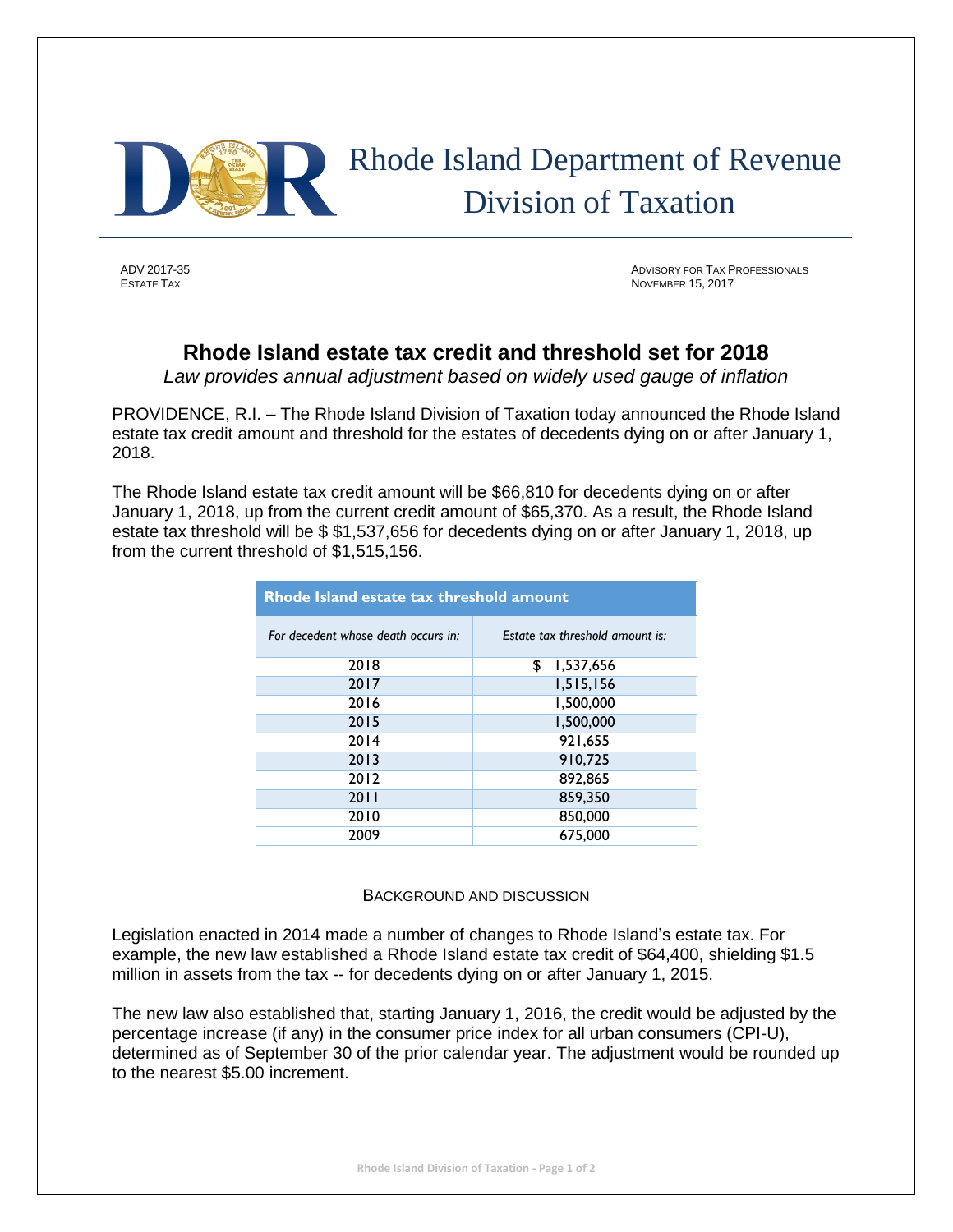

 Rhode Island Department of Revenue Division of Taxation

ADV 2017-35 ADVISORY FOR TAX PROFESSIONALS **NOVEMBER 15, 2017** 

## **Rhode Island estate tax credit and threshold set for 2018**

*Law provides annual adjustment based on widely used gauge of inflation*

PROVIDENCE, R.I. – The Rhode Island Division of Taxation today announced the Rhode Island estate tax credit amount and threshold for the estates of decedents dying on or after January 1, 2018.

The Rhode Island estate tax credit amount will be \$66,810 for decedents dying on or after January 1, 2018, up from the current credit amount of \$65,370. As a result, the Rhode Island estate tax threshold will be \$ \$1,537,656 for decedents dying on or after January 1, 2018, up from the current threshold of \$1,515,156.

| <b>Rhode Island estate tax threshold amount</b> |                                 |
|-------------------------------------------------|---------------------------------|
| For decedent whose death occurs in:             | Estate tax threshold amount is: |
| 2018                                            | 1,537,656<br>\$                 |
| 2017                                            | 1.515.156                       |
| 2016                                            | 1,500,000                       |
| 2015                                            | 1,500,000                       |
| 2014                                            | 921,655                         |
| 2013                                            | 910.725                         |
| 2012                                            | 892.865                         |
| 2011                                            | 859,350                         |
| 2010                                            | 850,000                         |
| 2009                                            | 675,000                         |

## BACKGROUND AND DISCUSSION

Legislation enacted in 2014 made a number of changes to Rhode Island's estate tax. For example, the new law established a Rhode Island estate tax credit of \$64,400, shielding \$1.5 million in assets from the tax -- for decedents dying on or after January 1, 2015.

The new law also established that, starting January 1, 2016, the credit would be adjusted by the percentage increase (if any) in the consumer price index for all urban consumers (CPI-U), determined as of September 30 of the prior calendar year. The adjustment would be rounded up to the nearest \$5.00 increment.